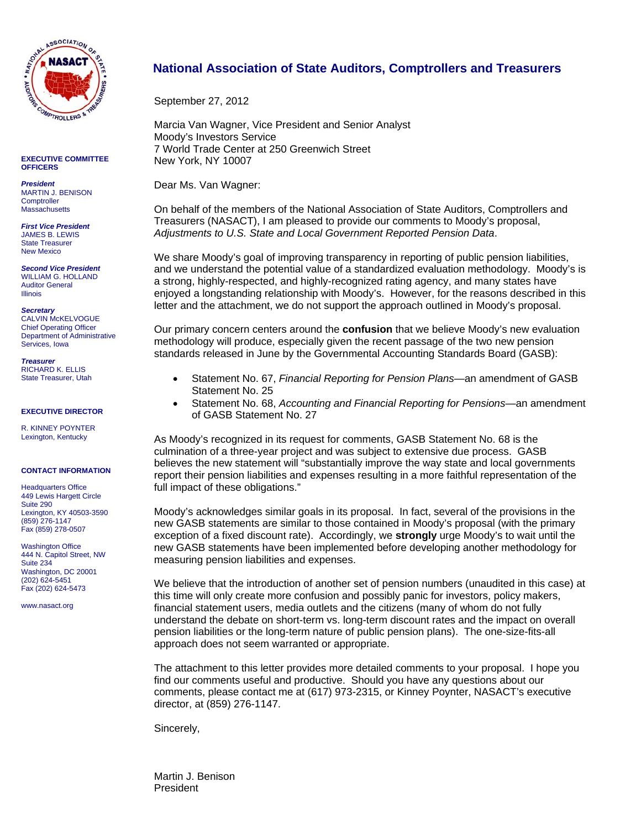

**EXECUTIVE COMMITTEE OFFICERS** 

*President*  MARTIN J. BENISON **Comptroller Massachusetts** 

*First Vice President*  JAMES B. LEWIS State Treasurer New Mexico

*Second Vice President*  WILLIAM G. HOLLAND Auditor General Illinois

*Secretary*  CALVIN McKELVOGUE Chief Operating Officer Department of Administrative Services, Iowa

*Treasurer*  RICHARD K. ELLIS State Treasurer, Utah

### **EXECUTIVE DIRECTOR**

R. KINNEY POYNTER Lexington, Kentucky

#### **CONTACT INFORMATION**

Headquarters Office 449 Lewis Hargett Circle Suite 290 Lexington, KY 40503-3590 (859) 276-1147 Fax (859) 278-0507

Washington Office 444 N. Capitol Street, NW Suite 234 Washington, DC 20001 (202) 624-5451 Fax (202) 624-5473

www.nasact.org

### **National Association of State Auditors, Comptrollers and Treasurers**

September 27, 2012

Marcia Van Wagner, Vice President and Senior Analyst Moody's Investors Service 7 World Trade Center at 250 Greenwich Street New York, NY 10007

Dear Ms. Van Wagner:

On behalf of the members of the National Association of State Auditors, Comptrollers and Treasurers (NASACT), I am pleased to provide our comments to Moody's proposal, *Adjustments to U.S. State and Local Government Reported Pension Data*.

We share Moody's goal of improving transparency in reporting of public pension liabilities, and we understand the potential value of a standardized evaluation methodology. Moody's is a strong, highly-respected, and highly-recognized rating agency, and many states have enjoyed a longstanding relationship with Moody's. However, for the reasons described in this letter and the attachment, we do not support the approach outlined in Moody's proposal.

Our primary concern centers around the **confusion** that we believe Moody's new evaluation methodology will produce, especially given the recent passage of the two new pension standards released in June by the Governmental Accounting Standards Board (GASB):

- Statement No. 67, *Financial Reporting for Pension Plans—*an amendment of GASB Statement No. 25
- Statement No. 68, *Accounting and Financial Reporting for Pensions—*an amendment of GASB Statement No. 27

As Moody's recognized in its request for comments, GASB Statement No. 68 is the culmination of a three-year project and was subject to extensive due process. GASB believes the new statement will "substantially improve the way state and local governments report their pension liabilities and expenses resulting in a more faithful representation of the full impact of these obligations."

Moody's acknowledges similar goals in its proposal. In fact, several of the provisions in the new GASB statements are similar to those contained in Moody's proposal (with the primary exception of a fixed discount rate). Accordingly, we **strongly** urge Moody's to wait until the new GASB statements have been implemented before developing another methodology for measuring pension liabilities and expenses.

We believe that the introduction of another set of pension numbers (unaudited in this case) at this time will only create more confusion and possibly panic for investors, policy makers, financial statement users, media outlets and the citizens (many of whom do not fully understand the debate on short-term vs. long-term discount rates and the impact on overall pension liabilities or the long-term nature of public pension plans). The one-size-fits-all approach does not seem warranted or appropriate.

The attachment to this letter provides more detailed comments to your proposal. I hope you find our comments useful and productive. Should you have any questions about our comments, please contact me at (617) 973-2315, or Kinney Poynter, NASACT's executive director, at (859) 276-1147.

Sincerely,

Martin J. Benison President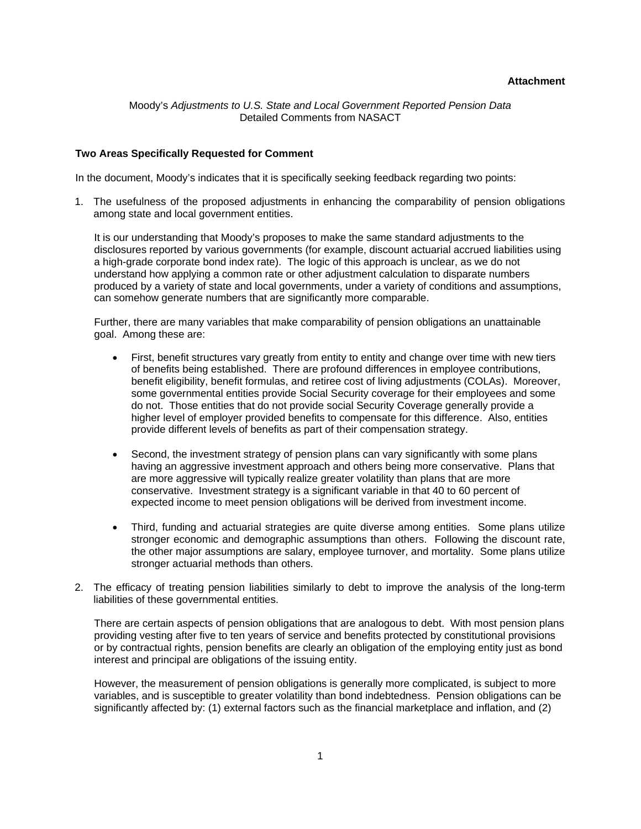## **Attachment**

Moody's *Adjustments to U.S. State and Local Government Reported Pension Data*  Detailed Comments from NASACT

## **Two Areas Specifically Requested for Comment**

In the document, Moody's indicates that it is specifically seeking feedback regarding two points:

1. The usefulness of the proposed adjustments in enhancing the comparability of pension obligations among state and local government entities.

It is our understanding that Moody's proposes to make the same standard adjustments to the disclosures reported by various governments (for example, discount actuarial accrued liabilities using a high-grade corporate bond index rate). The logic of this approach is unclear, as we do not understand how applying a common rate or other adjustment calculation to disparate numbers produced by a variety of state and local governments, under a variety of conditions and assumptions, can somehow generate numbers that are significantly more comparable.

Further, there are many variables that make comparability of pension obligations an unattainable goal. Among these are:

- First, benefit structures vary greatly from entity to entity and change over time with new tiers of benefits being established. There are profound differences in employee contributions, benefit eligibility, benefit formulas, and retiree cost of living adjustments (COLAs). Moreover, some governmental entities provide Social Security coverage for their employees and some do not. Those entities that do not provide social Security Coverage generally provide a higher level of employer provided benefits to compensate for this difference. Also, entities provide different levels of benefits as part of their compensation strategy.
- Second, the investment strategy of pension plans can vary significantly with some plans having an aggressive investment approach and others being more conservative. Plans that are more aggressive will typically realize greater volatility than plans that are more conservative. Investment strategy is a significant variable in that 40 to 60 percent of expected income to meet pension obligations will be derived from investment income.
- Third, funding and actuarial strategies are quite diverse among entities. Some plans utilize stronger economic and demographic assumptions than others. Following the discount rate, the other major assumptions are salary, employee turnover, and mortality. Some plans utilize stronger actuarial methods than others.
- 2. The efficacy of treating pension liabilities similarly to debt to improve the analysis of the long-term liabilities of these governmental entities.

There are certain aspects of pension obligations that are analogous to debt. With most pension plans providing vesting after five to ten years of service and benefits protected by constitutional provisions or by contractual rights, pension benefits are clearly an obligation of the employing entity just as bond interest and principal are obligations of the issuing entity.

However, the measurement of pension obligations is generally more complicated, is subject to more variables, and is susceptible to greater volatility than bond indebtedness. Pension obligations can be significantly affected by: (1) external factors such as the financial marketplace and inflation, and (2)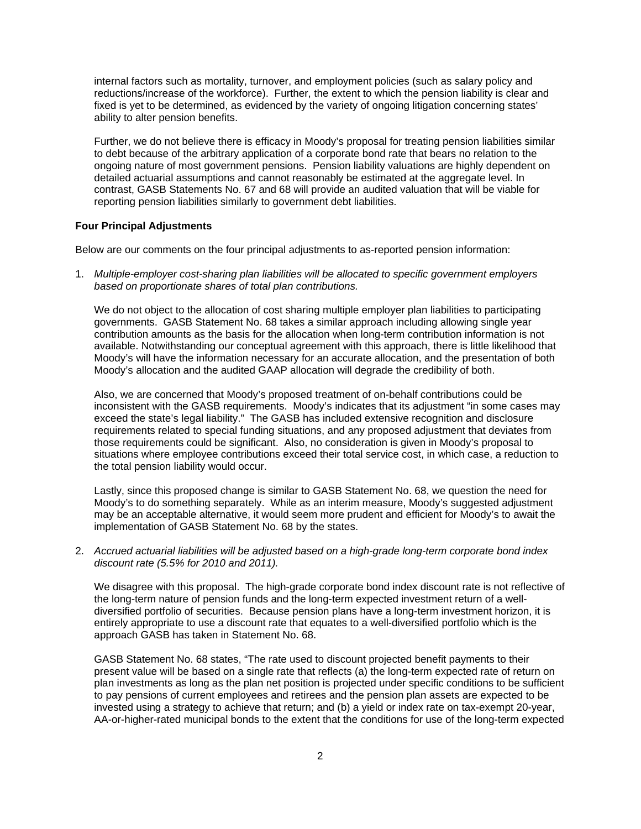internal factors such as mortality, turnover, and employment policies (such as salary policy and reductions/increase of the workforce). Further, the extent to which the pension liability is clear and fixed is yet to be determined, as evidenced by the variety of ongoing litigation concerning states' ability to alter pension benefits.

Further, we do not believe there is efficacy in Moody's proposal for treating pension liabilities similar to debt because of the arbitrary application of a corporate bond rate that bears no relation to the ongoing nature of most government pensions. Pension liability valuations are highly dependent on detailed actuarial assumptions and cannot reasonably be estimated at the aggregate level. In contrast, GASB Statements No. 67 and 68 will provide an audited valuation that will be viable for reporting pension liabilities similarly to government debt liabilities.

## **Four Principal Adjustments**

Below are our comments on the four principal adjustments to as-reported pension information:

1. *Multiple-employer cost-sharing plan liabilities will be allocated to specific government employers based on proportionate shares of total plan contributions.* 

We do not object to the allocation of cost sharing multiple employer plan liabilities to participating governments. GASB Statement No. 68 takes a similar approach including allowing single year contribution amounts as the basis for the allocation when long-term contribution information is not available. Notwithstanding our conceptual agreement with this approach, there is little likelihood that Moody's will have the information necessary for an accurate allocation, and the presentation of both Moody's allocation and the audited GAAP allocation will degrade the credibility of both.

Also, we are concerned that Moody's proposed treatment of on-behalf contributions could be inconsistent with the GASB requirements. Moody's indicates that its adjustment "in some cases may exceed the state's legal liability." The GASB has included extensive recognition and disclosure requirements related to special funding situations, and any proposed adjustment that deviates from those requirements could be significant. Also, no consideration is given in Moody's proposal to situations where employee contributions exceed their total service cost, in which case, a reduction to the total pension liability would occur.

Lastly, since this proposed change is similar to GASB Statement No. 68, we question the need for Moody's to do something separately. While as an interim measure, Moody's suggested adjustment may be an acceptable alternative, it would seem more prudent and efficient for Moody's to await the implementation of GASB Statement No. 68 by the states.

2. *Accrued actuarial liabilities will be adjusted based on a high-grade long-term corporate bond index discount rate (5.5% for 2010 and 2011).* 

We disagree with this proposal. The high-grade corporate bond index discount rate is not reflective of the long-term nature of pension funds and the long-term expected investment return of a welldiversified portfolio of securities. Because pension plans have a long-term investment horizon, it is entirely appropriate to use a discount rate that equates to a well-diversified portfolio which is the approach GASB has taken in Statement No. 68.

GASB Statement No. 68 states, "The rate used to discount projected benefit payments to their present value will be based on a single rate that reflects (a) the long-term expected rate of return on plan investments as long as the plan net position is projected under specific conditions to be sufficient to pay pensions of current employees and retirees and the pension plan assets are expected to be invested using a strategy to achieve that return; and (b) a yield or index rate on tax-exempt 20-year, AA-or-higher-rated municipal bonds to the extent that the conditions for use of the long-term expected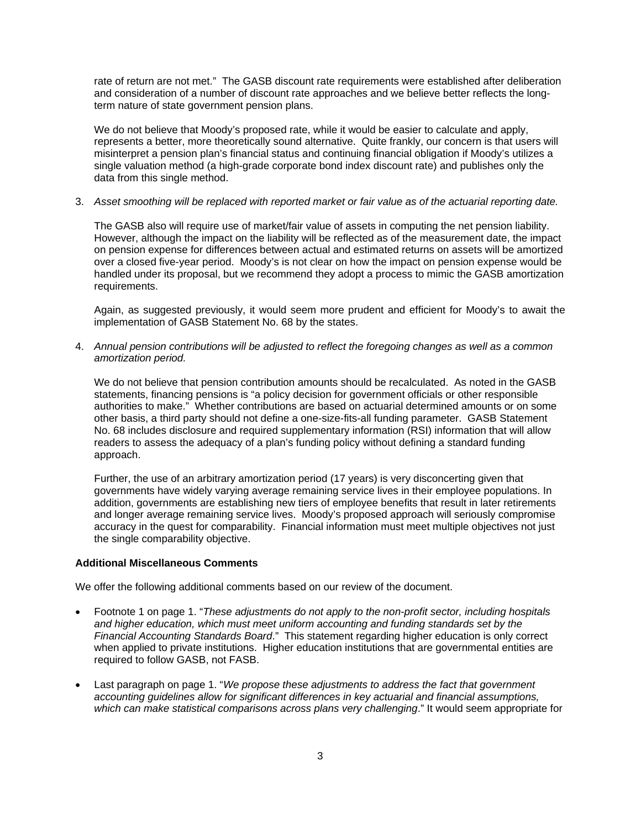rate of return are not met." The GASB discount rate requirements were established after deliberation and consideration of a number of discount rate approaches and we believe better reflects the longterm nature of state government pension plans.

We do not believe that Moody's proposed rate, while it would be easier to calculate and apply, represents a better, more theoretically sound alternative. Quite frankly, our concern is that users will misinterpret a pension plan's financial status and continuing financial obligation if Moody's utilizes a single valuation method (a high-grade corporate bond index discount rate) and publishes only the data from this single method.

3. *Asset smoothing will be replaced with reported market or fair value as of the actuarial reporting date.* 

The GASB also will require use of market/fair value of assets in computing the net pension liability. However, although the impact on the liability will be reflected as of the measurement date, the impact on pension expense for differences between actual and estimated returns on assets will be amortized over a closed five-year period. Moody's is not clear on how the impact on pension expense would be handled under its proposal, but we recommend they adopt a process to mimic the GASB amortization requirements.

Again, as suggested previously, it would seem more prudent and efficient for Moody's to await the implementation of GASB Statement No. 68 by the states.

4. *Annual pension contributions will be adjusted to reflect the foregoing changes as well as a common amortization period.* 

We do not believe that pension contribution amounts should be recalculated. As noted in the GASB statements, financing pensions is "a policy decision for government officials or other responsible authorities to make." Whether contributions are based on actuarial determined amounts or on some other basis, a third party should not define a one-size-fits-all funding parameter. GASB Statement No. 68 includes disclosure and required supplementary information (RSI) information that will allow readers to assess the adequacy of a plan's funding policy without defining a standard funding approach.

Further, the use of an arbitrary amortization period (17 years) is very disconcerting given that governments have widely varying average remaining service lives in their employee populations. In addition, governments are establishing new tiers of employee benefits that result in later retirements and longer average remaining service lives. Moody's proposed approach will seriously compromise accuracy in the quest for comparability. Financial information must meet multiple objectives not just the single comparability objective.

# **Additional Miscellaneous Comments**

We offer the following additional comments based on our review of the document.

- Footnote 1 on page 1. "*These adjustments do not apply to the non-profit sector, including hospitals and higher education, which must meet uniform accounting and funding standards set by the Financial Accounting Standards Board*." This statement regarding higher education is only correct when applied to private institutions. Higher education institutions that are governmental entities are required to follow GASB, not FASB.
- Last paragraph on page 1. "*We propose these adjustments to address the fact that government accounting guidelines allow for significant differences in key actuarial and financial assumptions, which can make statistical comparisons across plans very challenging*." It would seem appropriate for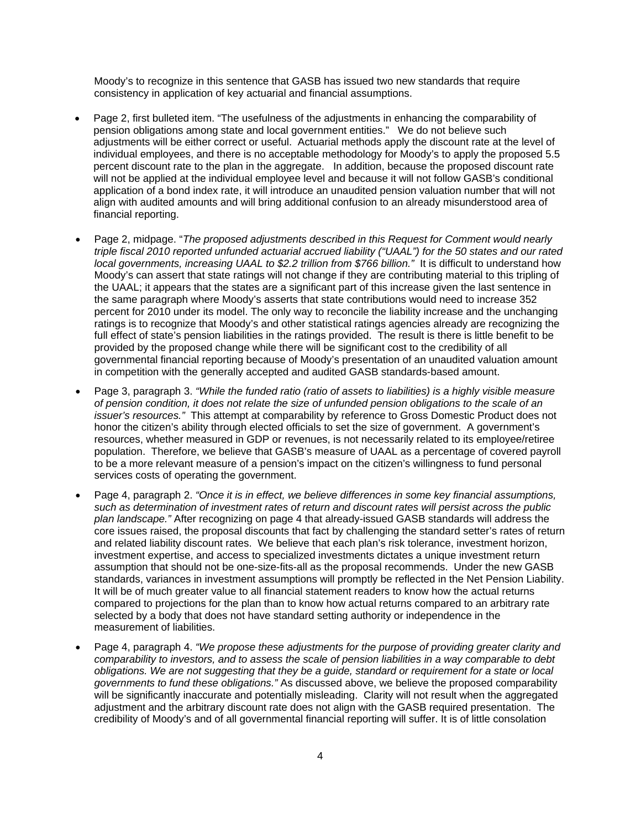Moody's to recognize in this sentence that GASB has issued two new standards that require consistency in application of key actuarial and financial assumptions.

- Page 2, first bulleted item. "The usefulness of the adjustments in enhancing the comparability of pension obligations among state and local government entities." We do not believe such adjustments will be either correct or useful. Actuarial methods apply the discount rate at the level of individual employees, and there is no acceptable methodology for Moody's to apply the proposed 5.5 percent discount rate to the plan in the aggregate. In addition, because the proposed discount rate will not be applied at the individual employee level and because it will not follow GASB's conditional application of a bond index rate, it will introduce an unaudited pension valuation number that will not align with audited amounts and will bring additional confusion to an already misunderstood area of financial reporting.
- Page 2, midpage. "*The proposed adjustments described in this Request for Comment would nearly triple fiscal 2010 reported unfunded actuarial accrued liability ("UAAL") for the 50 states and our rated*  local governments, increasing UAAL to \$2.2 trillion from \$766 billion." It is difficult to understand how Moody's can assert that state ratings will not change if they are contributing material to this tripling of the UAAL; it appears that the states are a significant part of this increase given the last sentence in the same paragraph where Moody's asserts that state contributions would need to increase 352 percent for 2010 under its model. The only way to reconcile the liability increase and the unchanging ratings is to recognize that Moody's and other statistical ratings agencies already are recognizing the full effect of state's pension liabilities in the ratings provided. The result is there is little benefit to be provided by the proposed change while there will be significant cost to the credibility of all governmental financial reporting because of Moody's presentation of an unaudited valuation amount in competition with the generally accepted and audited GASB standards-based amount.
- Page 3, paragraph 3. *"While the funded ratio (ratio of assets to liabilities) is a highly visible measure of pension condition, it does not relate the size of unfunded pension obligations to the scale of an issuer's resources."* This attempt at comparability by reference to Gross Domestic Product does not honor the citizen's ability through elected officials to set the size of government. A government's resources, whether measured in GDP or revenues, is not necessarily related to its employee/retiree population. Therefore, we believe that GASB's measure of UAAL as a percentage of covered payroll to be a more relevant measure of a pension's impact on the citizen's willingness to fund personal services costs of operating the government.
- Page 4, paragraph 2. *"Once it is in effect, we believe differences in some key financial assumptions, such as determination of investment rates of return and discount rates will persist across the public plan landscape."* After recognizing on page 4 that already-issued GASB standards will address the core issues raised, the proposal discounts that fact by challenging the standard setter's rates of return and related liability discount rates. We believe that each plan's risk tolerance, investment horizon, investment expertise, and access to specialized investments dictates a unique investment return assumption that should not be one-size-fits-all as the proposal recommends. Under the new GASB standards, variances in investment assumptions will promptly be reflected in the Net Pension Liability. It will be of much greater value to all financial statement readers to know how the actual returns compared to projections for the plan than to know how actual returns compared to an arbitrary rate selected by a body that does not have standard setting authority or independence in the measurement of liabilities.
- Page 4, paragraph 4. *"We propose these adjustments for the purpose of providing greater clarity and comparability to investors, and to assess the scale of pension liabilities in a way comparable to debt obligations. We are not suggesting that they be a guide, standard or requirement for a state or local governments to fund these obligations."* As discussed above, we believe the proposed comparability will be significantly inaccurate and potentially misleading. Clarity will not result when the aggregated adjustment and the arbitrary discount rate does not align with the GASB required presentation. The credibility of Moody's and of all governmental financial reporting will suffer. It is of little consolation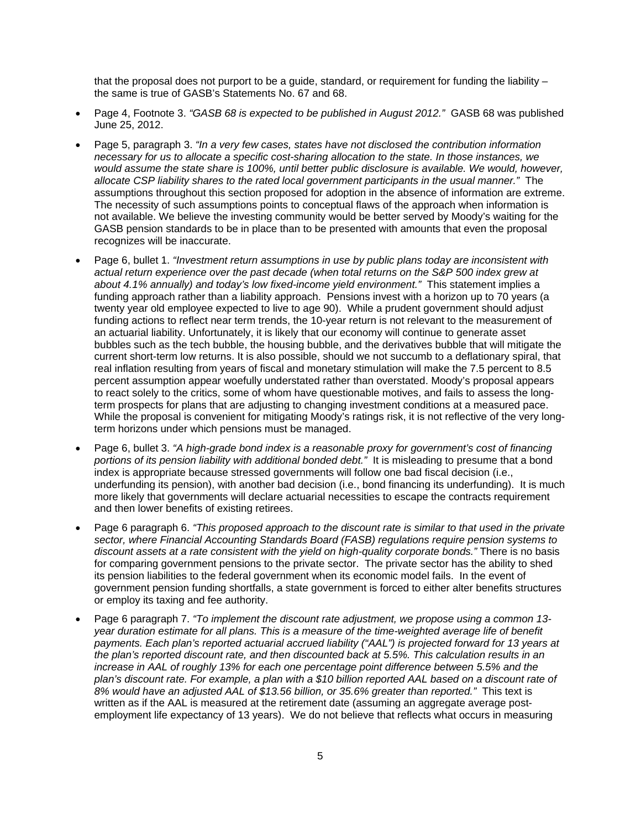that the proposal does not purport to be a guide, standard, or requirement for funding the liability – the same is true of GASB's Statements No. 67 and 68.

- Page 4, Footnote 3. *"GASB 68 is expected to be published in August 2012."* GASB 68 was published June 25, 2012.
- Page 5, paragraph 3. *"In a very few cases, states have not disclosed the contribution information necessary for us to allocate a specific cost-sharing allocation to the state. In those instances, we would assume the state share is 100%, until better public disclosure is available. We would, however, allocate CSP liability shares to the rated local government participants in the usual manner."* The assumptions throughout this section proposed for adoption in the absence of information are extreme. The necessity of such assumptions points to conceptual flaws of the approach when information is not available. We believe the investing community would be better served by Moody's waiting for the GASB pension standards to be in place than to be presented with amounts that even the proposal recognizes will be inaccurate.
- Page 6, bullet 1. *"Investment return assumptions in use by public plans today are inconsistent with actual return experience over the past decade (when total returns on the S&P 500 index grew at about 4.1% annually) and today's low fixed-income yield environment."* This statement implies a funding approach rather than a liability approach. Pensions invest with a horizon up to 70 years (a twenty year old employee expected to live to age 90). While a prudent government should adjust funding actions to reflect near term trends, the 10-year return is not relevant to the measurement of an actuarial liability. Unfortunately, it is likely that our economy will continue to generate asset bubbles such as the tech bubble, the housing bubble, and the derivatives bubble that will mitigate the current short-term low returns. It is also possible, should we not succumb to a deflationary spiral, that real inflation resulting from years of fiscal and monetary stimulation will make the 7.5 percent to 8.5 percent assumption appear woefully understated rather than overstated. Moody's proposal appears to react solely to the critics, some of whom have questionable motives, and fails to assess the longterm prospects for plans that are adjusting to changing investment conditions at a measured pace. While the proposal is convenient for mitigating Moody's ratings risk, it is not reflective of the very longterm horizons under which pensions must be managed.
- Page 6, bullet 3. *"A high-grade bond index is a reasonable proxy for government's cost of financing portions of its pension liability with additional bonded debt."* It is misleading to presume that a bond index is appropriate because stressed governments will follow one bad fiscal decision (i.e., underfunding its pension), with another bad decision (i.e., bond financing its underfunding). It is much more likely that governments will declare actuarial necessities to escape the contracts requirement and then lower benefits of existing retirees.
- Page 6 paragraph 6. *"This proposed approach to the discount rate is similar to that used in the private sector, where Financial Accounting Standards Board (FASB) regulations require pension systems to discount assets at a rate consistent with the yield on high-quality corporate bonds."* There is no basis for comparing government pensions to the private sector. The private sector has the ability to shed its pension liabilities to the federal government when its economic model fails. In the event of government pension funding shortfalls, a state government is forced to either alter benefits structures or employ its taxing and fee authority.
- Page 6 paragraph 7. *"To implement the discount rate adjustment, we propose using a common 13 year duration estimate for all plans. This is a measure of the time-weighted average life of benefit payments. Each plan's reported actuarial accrued liability ("AAL") is projected forward for 13 years at the plan's reported discount rate, and then discounted back at 5.5%. This calculation results in an increase in AAL of roughly 13% for each one percentage point difference between 5.5% and the plan's discount rate. For example, a plan with a \$10 billion reported AAL based on a discount rate of 8% would have an adjusted AAL of \$13.56 billion, or 35.6% greater than reported."* This text is written as if the AAL is measured at the retirement date (assuming an aggregate average postemployment life expectancy of 13 years). We do not believe that reflects what occurs in measuring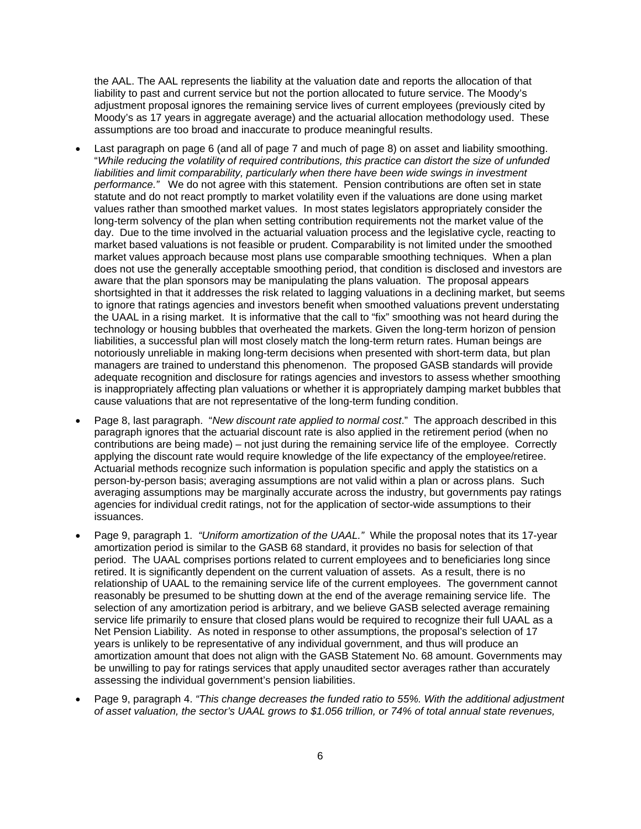the AAL. The AAL represents the liability at the valuation date and reports the allocation of that liability to past and current service but not the portion allocated to future service. The Moody's adjustment proposal ignores the remaining service lives of current employees (previously cited by Moody's as 17 years in aggregate average) and the actuarial allocation methodology used. These assumptions are too broad and inaccurate to produce meaningful results.

- Last paragraph on page 6 (and all of page 7 and much of page 8) on asset and liability smoothing. "*While reducing the volatility of required contributions, this practice can distort the size of unfunded*  liabilities and limit comparability, particularly when there have been wide swings in investment *performance."* We do not agree with this statement. Pension contributions are often set in state statute and do not react promptly to market volatility even if the valuations are done using market values rather than smoothed market values. In most states legislators appropriately consider the long-term solvency of the plan when setting contribution requirements not the market value of the day. Due to the time involved in the actuarial valuation process and the legislative cycle, reacting to market based valuations is not feasible or prudent. Comparability is not limited under the smoothed market values approach because most plans use comparable smoothing techniques. When a plan does not use the generally acceptable smoothing period, that condition is disclosed and investors are aware that the plan sponsors may be manipulating the plans valuation. The proposal appears shortsighted in that it addresses the risk related to lagging valuations in a declining market, but seems to ignore that ratings agencies and investors benefit when smoothed valuations prevent understating the UAAL in a rising market. It is informative that the call to "fix" smoothing was not heard during the technology or housing bubbles that overheated the markets. Given the long-term horizon of pension liabilities, a successful plan will most closely match the long-term return rates. Human beings are notoriously unreliable in making long-term decisions when presented with short-term data, but plan managers are trained to understand this phenomenon. The proposed GASB standards will provide adequate recognition and disclosure for ratings agencies and investors to assess whether smoothing is inappropriately affecting plan valuations or whether it is appropriately damping market bubbles that cause valuations that are not representative of the long-term funding condition.
- Page 8, last paragraph. "*New discount rate applied to normal cost*." The approach described in this paragraph ignores that the actuarial discount rate is also applied in the retirement period (when no contributions are being made) – not just during the remaining service life of the employee. Correctly applying the discount rate would require knowledge of the life expectancy of the employee/retiree. Actuarial methods recognize such information is population specific and apply the statistics on a person-by-person basis; averaging assumptions are not valid within a plan or across plans. Such averaging assumptions may be marginally accurate across the industry, but governments pay ratings agencies for individual credit ratings, not for the application of sector-wide assumptions to their issuances.
- Page 9, paragraph 1. *"Uniform amortization of the UAAL."* While the proposal notes that its 17-year amortization period is similar to the GASB 68 standard, it provides no basis for selection of that period. The UAAL comprises portions related to current employees and to beneficiaries long since retired. It is significantly dependent on the current valuation of assets. As a result, there is no relationship of UAAL to the remaining service life of the current employees. The government cannot reasonably be presumed to be shutting down at the end of the average remaining service life. The selection of any amortization period is arbitrary, and we believe GASB selected average remaining service life primarily to ensure that closed plans would be required to recognize their full UAAL as a Net Pension Liability. As noted in response to other assumptions, the proposal's selection of 17 years is unlikely to be representative of any individual government, and thus will produce an amortization amount that does not align with the GASB Statement No. 68 amount. Governments may be unwilling to pay for ratings services that apply unaudited sector averages rather than accurately assessing the individual government's pension liabilities.
- Page 9, paragraph 4. *"This change decreases the funded ratio to 55%. With the additional adjustment of asset valuation, the sector's UAAL grows to \$1.056 trillion, or 74% of total annual state revenues,*